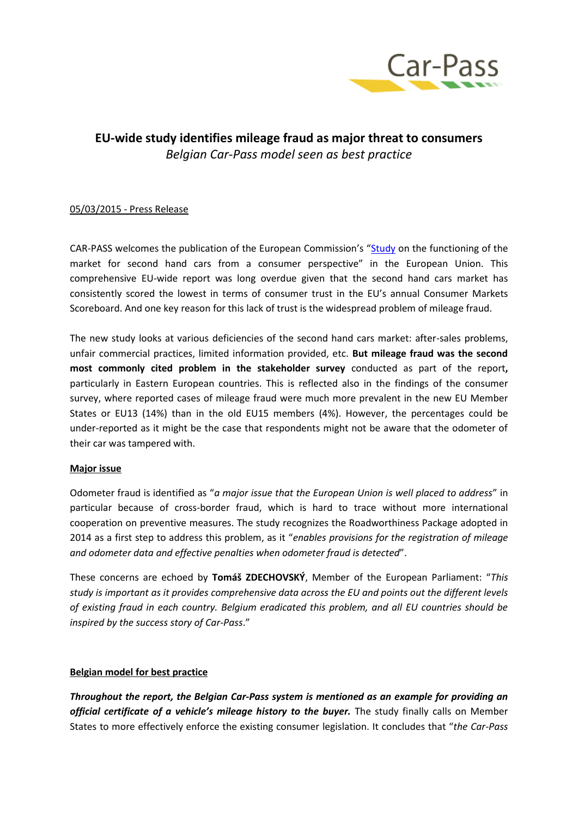

# **EU-wide study identifies mileage fraud as major threat to consumers** *Belgian Car-Pass model seen as best practice*

## 05/03/2015 - Press Release

CAR-PASS welcomes the publication of the European Commission's "[Study](http://ec.europa.eu/consumers/consumer_evidence/market_studies/second_hand_cars/index_en.htm) on the functioning of the market for second hand cars from a consumer perspective" in the European Union. This comprehensive EU-wide report was long overdue given that the second hand cars market has consistently scored the lowest in terms of consumer trust in the EU's annual Consumer Markets Scoreboard. And one key reason for this lack of trust is the widespread problem of mileage fraud.

The new study looks at various deficiencies of the second hand cars market: after-sales problems, unfair commercial practices, limited information provided, etc. **But mileage fraud was the second most commonly cited problem in the stakeholder survey** conducted as part of the report**,** particularly in Eastern European countries. This is reflected also in the findings of the consumer survey, where reported cases of mileage fraud were much more prevalent in the new EU Member States or EU13 (14%) than in the old EU15 members (4%). However, the percentages could be under-reported as it might be the case that respondents might not be aware that the odometer of their car was tampered with.

## **Major issue**

Odometer fraud is identified as "*a major issue that the European Union is well placed to address*" in particular because of cross-border fraud, which is hard to trace without more international cooperation on preventive measures. The study recognizes the Roadworthiness Package adopted in 2014 as a first step to address this problem, as it "*enables provisions for the registration of mileage and odometer data and effective penalties when odometer fraud is detected*".

These concerns are echoed by **Tomáš ZDECHOVSKÝ**, Member of the European Parliament: "*This study is important as it provides comprehensive data across the EU and points out the different levels of existing fraud in each country. Belgium eradicated this problem, and all EU countries should be inspired by the success story of Car-Pass*."

## **Belgian model for best practice**

*Throughout the report, the Belgian Car-Pass system is mentioned as an example for providing an official certificate of a vehicle's mileage history to the buyer.* The study finally calls on Member States to more effectively enforce the existing consumer legislation. It concludes that "*the Car-Pass*